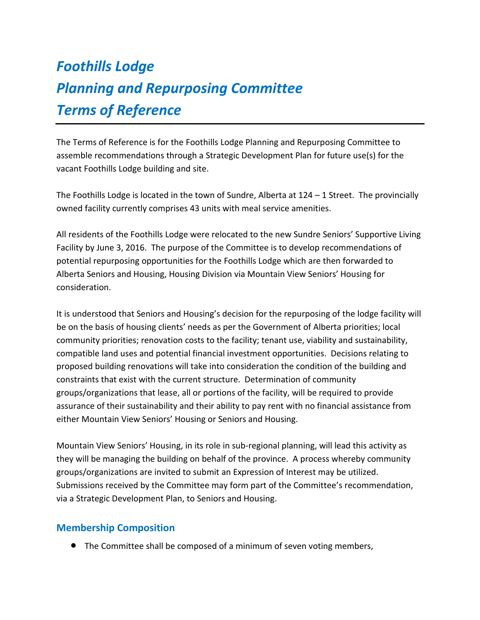# *Foothills Lodge Planning and Repurposing Committee Terms of Reference*

The Terms of Reference is for the Foothills Lodge Planning and Repurposing Committee to assemble recommendations through a Strategic Development Plan for future use(s) for the vacant Foothills Lodge building and site.

The Foothills Lodge is located in the town of Sundre, Alberta at  $124 - 1$  Street. The provincially owned facility currently comprises 43 units with meal service amenities.

All residents of the Foothills Lodge were relocated to the new Sundre Seniors' Supportive Living Facility by June 3, 2016. The purpose of the Committee is to develop recommendations of potential repurposing opportunities for the Foothills Lodge which are then forwarded to Alberta Seniors and Housing, Housing Division via Mountain View Seniors' Housing for consideration.

It is understood that Seniors and Housing's decision for the repurposing of the lodge facility will be on the basis of housing clients' needs as per the Government of Alberta priorities; local community priorities; renovation costs to the facility; tenant use, viability and sustainability, compatible land uses and potential financial investment opportunities. Decisions relating to proposed building renovations will take into consideration the condition of the building and constraints that exist with the current structure. Determination of community groups/organizations that lease, all or portions of the facility, will be required to provide assurance of their sustainability and their ability to pay rent with no financial assistance from either Mountain View Seniors' Housing or Seniors and Housing.

Mountain View Seniors' Housing, in its role in sub-regional planning, will lead this activity as they will be managing the building on behalf of the province. A process whereby community groups/organizations are invited to submit an Expression of Interest may be utilized. Submissions received by the Committee may form part of the Committee's recommendation, via a Strategic Development Plan, to Seniors and Housing.

## **Membership Composition**

The Committee shall be composed of a minimum of seven voting members,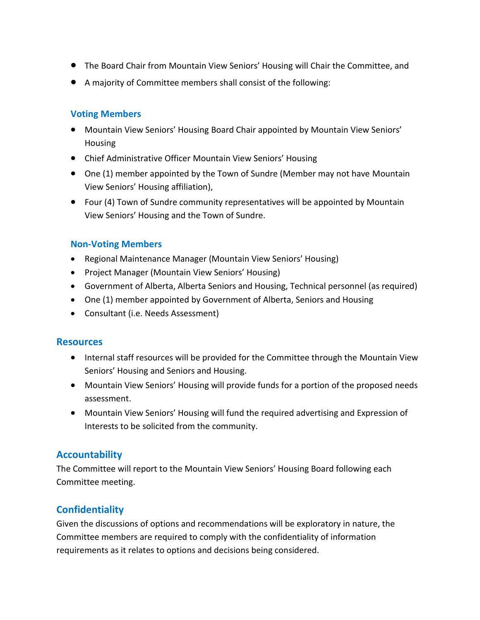- The Board Chair from Mountain View Seniors' Housing will Chair the Committee, and
- A majority of Committee members shall consist of the following:

### **Voting Members**

- Mountain View Seniors' Housing Board Chair appointed by Mountain View Seniors' Housing
- Chief Administrative Officer Mountain View Seniors' Housing
- One (1) member appointed by the Town of Sundre (Member may not have Mountain View Seniors' Housing affiliation),
- Four (4) Town of Sundre community representatives will be appointed by Mountain View Seniors' Housing and the Town of Sundre.

### **Non-Voting Members**

- Regional Maintenance Manager (Mountain View Seniors' Housing)
- Project Manager (Mountain View Seniors' Housing)
- Government of Alberta, Alberta Seniors and Housing, Technical personnel (as required)
- One (1) member appointed by Government of Alberta, Seniors and Housing
- Consultant (i.e. Needs Assessment)

#### **Resources**

- Internal staff resources will be provided for the Committee through the Mountain View Seniors' Housing and Seniors and Housing.
- Mountain View Seniors' Housing will provide funds for a portion of the proposed needs assessment.
- Mountain View Seniors' Housing will fund the required advertising and Expression of Interests to be solicited from the community.

# **Accountability**

The Committee will report to the Mountain View Seniors' Housing Board following each Committee meeting.

# **Confidentiality**

Given the discussions of options and recommendations will be exploratory in nature, the Committee members are required to comply with the confidentiality of information requirements as it relates to options and decisions being considered.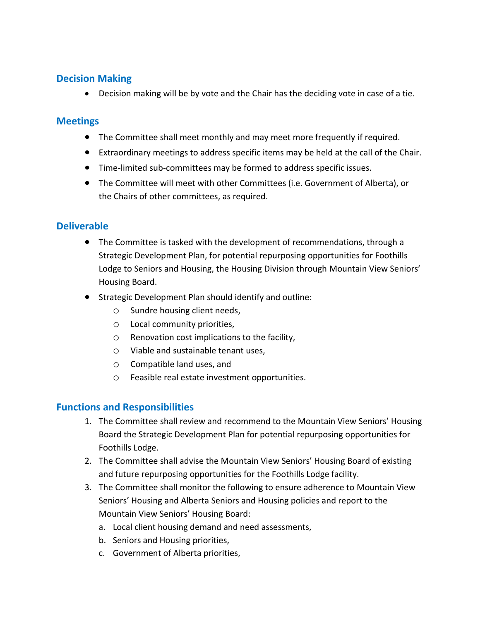## **Decision Making**

Decision making will be by vote and the Chair has the deciding vote in case of a tie.

## **Meetings**

- The Committee shall meet monthly and may meet more frequently if required.
- Extraordinary meetings to address specific items may be held at the call of the Chair.
- Time-limited sub-committees may be formed to address specific issues.
- The Committee will meet with other Committees (i.e. Government of Alberta), or the Chairs of other committees, as required.

## **Deliverable**

- The Committee is tasked with the development of recommendations, through a Strategic Development Plan, for potential repurposing opportunities for Foothills Lodge to Seniors and Housing, the Housing Division through Mountain View Seniors' Housing Board.
- **•** Strategic Development Plan should identify and outline:
	- o Sundre housing client needs,
	- o Local community priorities,
	- o Renovation cost implications to the facility,
	- o Viable and sustainable tenant uses,
	- o Compatible land uses, and
	- o Feasible real estate investment opportunities.

# **Functions and Responsibilities**

- 1. The Committee shall review and recommend to the Mountain View Seniors' Housing Board the Strategic Development Plan for potential repurposing opportunities for Foothills Lodge.
- 2. The Committee shall advise the Mountain View Seniors' Housing Board of existing and future repurposing opportunities for the Foothills Lodge facility.
- 3. The Committee shall monitor the following to ensure adherence to Mountain View Seniors' Housing and Alberta Seniors and Housing policies and report to the Mountain View Seniors' Housing Board:
	- a. Local client housing demand and need assessments,
	- b. Seniors and Housing priorities,
	- c. Government of Alberta priorities,